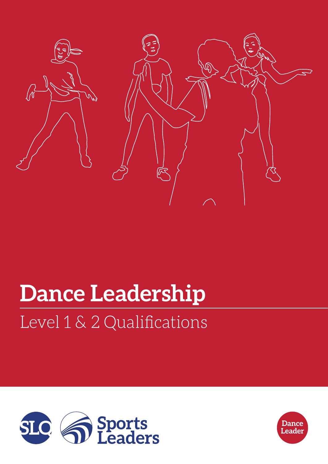

# Level 1 & 2 Qualifications **Dance Leadership**



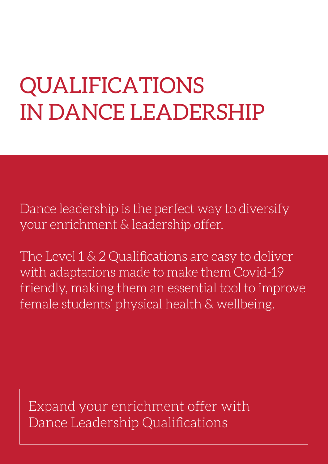# QUALIFICATIONS IN DANCE LEADERSHIP

Dance leadership is the perfect way to diversify your enrichment & leadership offer.

The Level 1 & 2 Qualifications are easy to deliver with adaptations made to make them Covid-19 friendly, making them an essential tool to improve female students' physical health & wellbeing.

Expand your enrichment offer with Dance Leadership Qualifications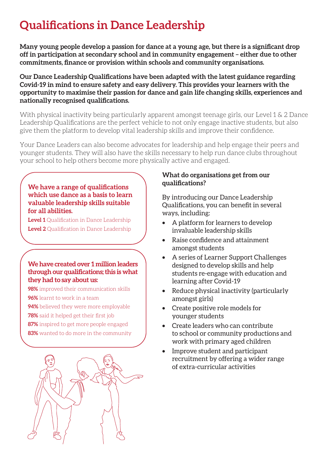# **Qualifications in Dance Leadership**

**Many young people develop a passion for dance at a young age, but there is a significant drop off in participation at secondary school and in community engagement – either due to other commitments, finance or provision within schools and community organisations.**

**Our Dance Leadership Qualifications have been adapted with the latest guidance regarding Covid-19 in mind to ensure safety and easy delivery. This provides your learners with the opportunity to maximise their passion for dance and gain life changing skills, experiences and nationally recognised qualifications.**

With physical inactivity being particularly apparent amongst teenage girls, our Level 1 & 2 Dance Leadership Qualifications are the perfect vehicle to not only engage inactive students, but also give them the platform to develop vital leadership skills and improve their confidence.

Your Dance Leaders can also become advocates for leadership and help engage their peers and younger students. They will also have the skills necessary to help run dance clubs throughout your school to help others become more physically active and engaged.

#### **We have a range of qualifications which use dance as a basis to learn valuable leadership skills suitable for all abilities.**

**Level 1** Qualification in Dance Leadership **Level 2** Qualification in Dance Leadership

#### **We have created over 1 million leaders through our qualifications; this is what they had to say about us:**

- **98%** improved their communication skills
- **96%** learnt to work in a team
- **94%** believed they were more employable
- **78%** said it helped get their first job
- **87%** inspired to get more people engaged
- **83%** wanted to do more in the community



### **What do organisations get from our qualifications?**

By introducing our Dance Leadership Qualifications, you can benefit in several ways, including:

- A platform for learners to develop invaluable leadership skills
- Raise confidence and attainment amongst students
- A series of Learner Support Challenges designed to develop skills and help students re-engage with education and learning after Covid-19
- Reduce physical inactivity (particularly amongst girls)
- Create positive role models for younger students
- Create leaders who can contribute to school or community productions and work with primary aged children
- Improve student and participant recruitment by offering a wider range of extra-curricular activities